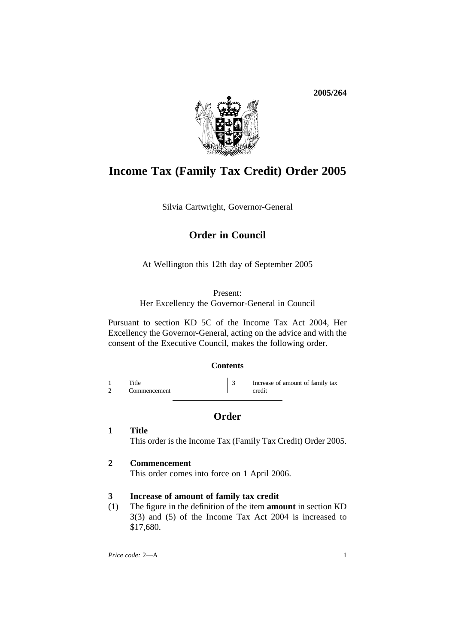**2005/264**



# **Income Tax (Family Tax Credit) Order 2005**

Silvia Cartwright, Governor-General

# **Order in Council**

At Wellington this 12th day of September 2005

### Present:

Her Excellency the Governor-General in Council

Pursuant to section KD 5C of the Income Tax Act 2004, Her Excellency the Governor-General, acting on the advice and with the consent of the Executive Council, makes the following order.

### **Contents**

1 Title 3 Increase of amount of family tax<br>2 Commencement credit Commencement

## **Order**

**1 Title** This order is the Income Tax (Family Tax Credit) Order 2005.

### **2 Commencement**

This order comes into force on 1 April 2006.

### **3 Increase of amount of family tax credit**

(1) The figure in the definition of the item **amount** in section KD 3(3) and (5) of the Income Tax Act 2004 is increased to \$17,680.